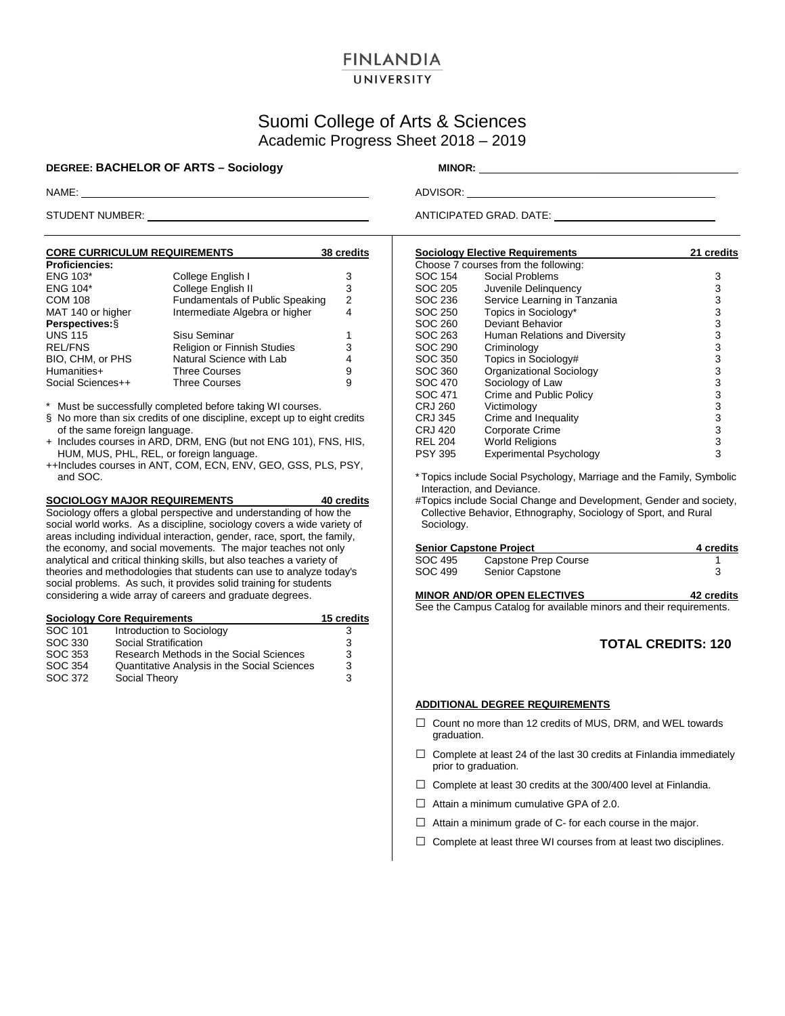## **FINLANDIA** UNIVERSITY

# Suomi College of Arts & Sciences Academic Progress Sheet 2018 – 2019

### **DEGREE: BACHELOR OF ARTS – Sociology MINOR:** \_\_\_\_\_\_\_\_\_\_\_\_\_

NAME: ADVISOR:

STUDENT NUMBER: ANTICIPATED GRAD. DATE: ANTICIPATED GRAD. DATE:

|                                | <b>38 credits</b>                                                      |
|--------------------------------|------------------------------------------------------------------------|
|                                |                                                                        |
| College English I              | 3                                                                      |
| College English II             | 3                                                                      |
|                                | $\overline{2}$                                                         |
| Intermediate Algebra or higher | 4                                                                      |
|                                |                                                                        |
| Sisu Seminar                   | 1                                                                      |
| Religion or Finnish Studies    | 3                                                                      |
| Natural Science with Lab       | 4                                                                      |
| <b>Three Courses</b>           | 9                                                                      |
| <b>Three Courses</b>           | 9                                                                      |
|                                | <b>CORE CURRICULUM REQUIREMENTS</b><br>Fundamentals of Public Speaking |

\* Must be successfully completed before taking WI courses.

- § No more than six credits of one discipline, except up to eight credits of the same foreign language.
- + Includes courses in ARD, DRM, ENG (but not ENG 101), FNS, HIS, HUM, MUS, PHL, REL, or foreign language.
- ++Includes courses in ANT, COM, ECN, ENV, GEO, GSS, PLS, PSY, and SOC.

#### **SOCIOLOGY MAJOR REQUIREMENTS 40 credits**

Sociology offers a global perspective and understanding of how the social world works. As a discipline, sociology covers a wide variety of areas including individual interaction, gender, race, sport, the family, the economy, and social movements. The major teaches not only analytical and critical thinking skills, but also teaches a variety of theories and methodologies that students can use to analyze today's social problems. As such, it provides solid training for students considering a wide array of careers and graduate degrees.

|         | <b>Sociology Core Requirements</b>           | 15 credits |
|---------|----------------------------------------------|------------|
| SOC 101 | Introduction to Sociology                    | 3          |
| SOC 330 | Social Stratification                        | 3          |
| SOC 353 | Research Methods in the Social Sciences      | 3          |
| SOC 354 | Quantitative Analysis in the Social Sciences | 3          |
| SOC 372 | Social Theory                                | 3          |

#### **Sociology Elective Requirements 21 credits** Choose 7 courses from the following: SOC 154 Social Problems (39 SOC 154 Social Problems (39 SOC 205 SOC 205 SOC 205 SOC 205 SOC 205 SOCIAL SUMMER SOCIAL SUMMER SOCIAL SUMMER SOCIAL SUMMER SOCIAL SUMMER SUMMER SUMMER SUMMER SUMMER SUMMER SUMMER SUMMER SUMMER SOC 205 Juvenile Delinquency<br>
SOC 236 Service Learning in Tanzania 33 SOC 236 Service Learning in Tanzania (1990)<br>SOC 250 Topics in Sociology\* (1990)<br>SOC 260 Deviant Behavior (1990) (1990) (1990) SOC 250 Topics in Sociology\*<br>SOC 260 Deviant Behavior SOC 260 Deviant Behavior<br>SOC 263 Human Relations and Diversity 3 SOC 263 Human Relations and Diversity 3<br>SOC 290 Criminology 3 SOC 290 Criminology<br>
SOC 350 Topics in Sociology# 1980<br>
SOC 360 Organizational Sociology 1980 3 SOC 350 Topics in Sociology#<br>SOC 360 Organizational Sociol SOC 360 Organizational Sociology<br>SOC 470 Sociology of Law SOC 470 Sociology of Law 3<br>
SOC 471 Crime and Public Policy 3<br>
CRJ 260 Victimology 3 SOC 471 Crime and Public Policy<br>CRJ 260 Victimology Victimology 3<br>Crime and Inequality 3 CRJ 345 Crime and Inequality 3 CRJ 420 Corporate Crime 3<br>REL 204 World Religions 3 REL 204 World Religions<br>PSY 395 Experimental Psychology 3 **Experimental Psychology**

\* Topics include Social Psychology, Marriage and the Family, Symbolic Interaction, and Deviance.

#Topics include Social Change and Development, Gender and society, Collective Behavior, Ethnography, Sociology of Sport, and Rural Sociology.

|         | <b>Senior Capstone Project</b> |  |  |
|---------|--------------------------------|--|--|
| SOC 495 | Capstone Prep Course           |  |  |
| SOC 499 | Senior Capstone                |  |  |

#### **MINOR AND/OR OPEN ELECTIVES 42 credits**

See the Campus Catalog for available minors and their requirements.

## **TOTAL CREDITS: 120**

### **ADDITIONAL DEGREE REQUIREMENTS**

- □ Count no more than 12 credits of MUS, DRM, and WEL towards graduation.
- $\Box$  Complete at least 24 of the last 30 credits at Finlandia immediately prior to graduation.
- $\Box$  Complete at least 30 credits at the 300/400 level at Finlandia.
- $\Box$  Attain a minimum cumulative GPA of 2.0.
- $\Box$  Attain a minimum grade of C- for each course in the major.
- $\Box$  Complete at least three WI courses from at least two disciplines.